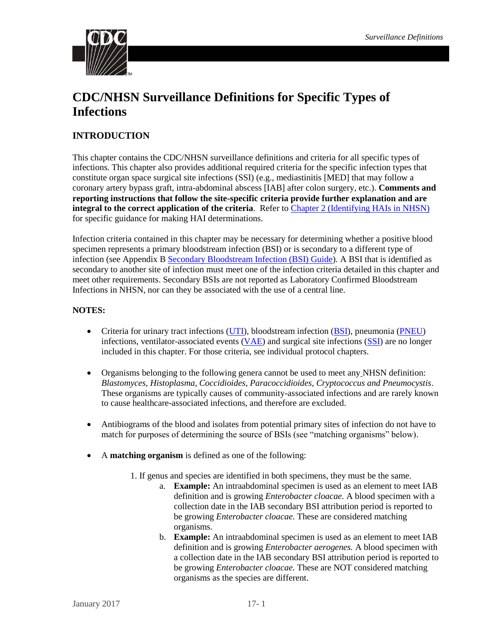

# **CDC/NHSN Surveillance Definitions for Specific Types of Infections**

## **INTRODUCTION**

This chapter contains the CDC/NHSN surveillance definitions and criteria for all specific types of infections. This chapter also provides additional required criteria for the specific infection types that constitute organ space surgical site infections (SSI) (e.g., mediastinitis [MED] that may follow a coronary artery bypass graft, intra-abdominal abscess [IAB] after colon surgery, etc.). **Comments and reporting instructions that follow the site-specific criteria provide further explanation and are integral to the correct application of the criteria**. Refer to [Chapter 2 \(Identifying HAIs in NHSN\)](https://www.cdc.gov/nhsn/PDFs/pscManual/2PSC_IdentifyingHAIs_NHSNcurrent.pdf) for specific guidance for making HAI determinations.

Infection criteria contained in this chapter may be necessary for determining whether a positive blood specimen represents a primary bloodstream infection (BSI) or is secondary to a different type of infection (see Appendix [B Secondary Bloodstream Infection \(BSI\) Guide\)](https://www.cdc.gov/nhsn/PDFs/pscManual/4PSC_CLABScurrent.pdf). A BSI that is identified as secondary to another site of infection must meet one of the infection criteria detailed in this chapter and meet other requirements. Secondary BSIs are not reported as Laboratory Confirmed Bloodstream Infections in NHSN, nor can they be associated with the use of a central line.

## **NOTES:**

- Criteria for urinary tract infections [\(UTI\)](https://www.cdc.gov/nhsn/PDFs/pscManual/7pscCAUTIcurrent.pdf), bloodstream infection [\(BSI\)](https://www.cdc.gov/nhsn/PDFs/pscManual/4PSC_CLABScurrent.pdf), pneumonia [\(PNEU\)](https://www.cdc.gov/nhsn/PDFs/pscManual/6pscVAPcurrent.pdf) infections, ventilator-associated events [\(VAE\)](https://www.cdc.gov/nhsn/PDFs/pscManual/10-VAE_FINAL.pdf) and surgical site infections [\(SSI\)](https://www.cdc.gov/nhsn/CPTcodes/ssi-cpt.html) are no longer included in this chapter. For those criteria, see individual protocol chapters.
- Organisms belonging to the following genera cannot be used to meet any NHSN definition: *Blastomyces, Histoplasma, Coccidioides, Paracoccidioides, Cryptococcus and Pneumocystis*. These organisms are typically causes of community-associated infections and are rarely known to cause healthcare-associated infections, and therefore are excluded.
- Antibiograms of the blood and isolates from potential primary sites of infection do not have to match for purposes of determining the source of BSIs (see "matching organisms" below).
- A **matching organism** is defined as one of the following:
	- 1. If genus and species are identified in both specimens, they must be the same.
		- a. **Example:** An intraabdominal specimen is used as an element to meet IAB definition and is growing *Enterobacter cloacae.* A blood specimen with a collection date in the IAB secondary BSI attribution period is reported to be growing *Enterobacter cloacae.* These are considered matching organisms.
		- b. **Example:** An intraabdominal specimen is used as an element to meet IAB definition and is growing *Enterobacter aerogenes.* A blood specimen with a collection date in the IAB secondary BSI attribution period is reported to be growing *Enterobacter cloacae.* These are NOT considered matching organisms as the species are different.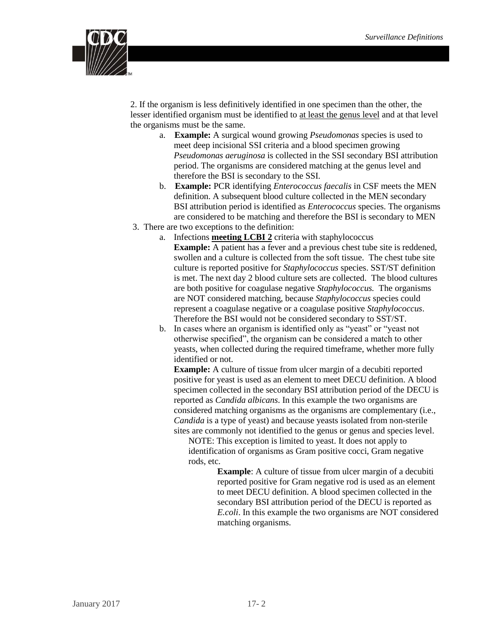

2. If the organism is less definitively identified in one specimen than the other, the lesser identified organism must be identified to at least the genus level and at that level the organisms must be the same.

- a. **Example:** A surgical wound growing *Pseudomonas* species is used to meet deep incisional SSI criteria and a blood specimen growing *Pseudomonas aeruginosa* is collected in the SSI secondary BSI attribution period. The organisms are considered matching at the genus level and therefore the BSI is secondary to the SSI.
- b. **Example:** PCR identifying *Enterococcus faecalis* in CSF meets the MEN definition. A subsequent blood culture collected in the MEN secondary BSI attribution period is identified as *Enterococcus* species. The organisms are considered to be matching and therefore the BSI is secondary to MEN
- 3. There are two exceptions to the definition:
	- a. Infections **meeting LCBI 2** criteria with staphylococcus **Example:** A patient has a fever and a previous chest tube site is reddened, swollen and a culture is collected from the soft tissue. The chest tube site culture is reported positive for *Staphylococcus* species. SST/ST definition is met. The next day 2 blood culture sets are collected. The blood cultures are both positive for coagulase negative *Staphylococcus.* The organisms are NOT considered matching, because *Staphylococcus* species could represent a coagulase negative or a coagulase positive *Staphylococcus*. Therefore the BSI would not be considered secondary to SST/ST.
	- b. In cases where an organism is identified only as "yeast" or "yeast not otherwise specified", the organism can be considered a match to other yeasts, when collected during the required timeframe, whether more fully identified or not.

**Example:** A culture of tissue from ulcer margin of a decubiti reported positive for yeast is used as an element to meet DECU definition. A blood specimen collected in the secondary BSI attribution period of the DECU is reported as *Candida albicans*. In this example the two organisms are considered matching organisms as the organisms are complementary (i.e., *Candida* is a type of yeast) and because yeasts isolated from non-sterile sites are commonly not identified to the genus or genus and species level.

NOTE: This exception is limited to yeast. It does not apply to identification of organisms as Gram positive cocci, Gram negative rods, etc.

> **Example**: A culture of tissue from ulcer margin of a decubiti reported positive for Gram negative rod is used as an element to meet DECU definition. A blood specimen collected in the secondary BSI attribution period of the DECU is reported as *E.coli*. In this example the two organisms are NOT considered matching organisms.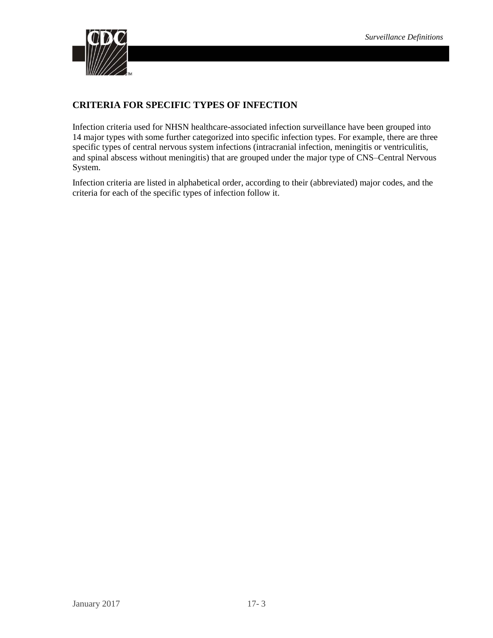

## **CRITERIA FOR SPECIFIC TYPES OF INFECTION**

Infection criteria used for NHSN healthcare-associated infection surveillance have been grouped into 14 major types with some further categorized into specific infection types. For example, there are three specific types of central nervous system infections (intracranial infection, meningitis or ventriculitis, and spinal abscess without meningitis) that are grouped under the major type of CNS–Central Nervous System.

Infection criteria are listed in alphabetical order, according to their (abbreviated) major codes, and the criteria for each of the specific types of infection follow it.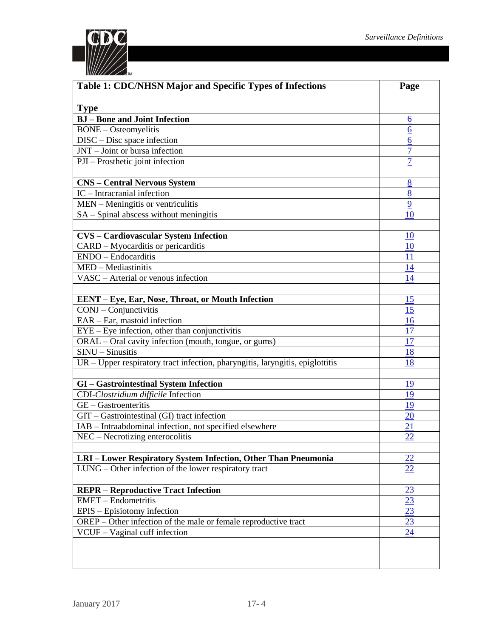

| Table 1: CDC/NHSN Major and Specific Types of Infections                                                | Page             |
|---------------------------------------------------------------------------------------------------------|------------------|
|                                                                                                         |                  |
| <b>Type</b><br><b>BJ</b> – Bone and Joint Infection                                                     | 6                |
| <b>BONE</b> - Osteomyelitis                                                                             | 6                |
| DISC – Disc space infection                                                                             | $6 \overline{6}$ |
| JNT - Joint or bursa infection                                                                          | $\overline{7}$   |
| PJI – Prosthetic joint infection                                                                        | $\overline{7}$   |
|                                                                                                         |                  |
| <b>CNS - Central Nervous System</b>                                                                     | 8                |
| IC - Intracranial infection                                                                             | 8                |
| MEN - Meningitis or ventriculitis                                                                       | 9                |
| SA – Spinal abscess without meningitis                                                                  | 10               |
|                                                                                                         |                  |
| <b>CVS</b> - Cardiovascular System Infection                                                            | 10               |
| CARD – Myocarditis or pericarditis                                                                      | 10               |
| ENDO - Endocarditis                                                                                     | <u> 11</u>       |
| MED - Mediastinitis                                                                                     | 14               |
| VASC - Arterial or venous infection                                                                     | 14               |
|                                                                                                         | 15               |
| EENT - Eye, Ear, Nose, Throat, or Mouth Infection                                                       | 15               |
| CONJ - Conjunctivitis<br>EAR – Ear, mastoid infection                                                   | 16               |
|                                                                                                         |                  |
| EYE – Eye infection, other than conjunctivitis<br>ORAL - Oral cavity infection (mouth, tongue, or gums) | 17               |
| $SINU - Sinusitis$                                                                                      | 17               |
|                                                                                                         | 18<br>18         |
| UR - Upper respiratory tract infection, pharyngitis, laryngitis, epiglottitis                           |                  |
| <b>GI</b> - Gastrointestinal System Infection                                                           | <u> 19</u>       |
| CDI-Clostridium difficile Infection                                                                     | 19               |
| GE - Gastroenteritis                                                                                    | 19               |
| GIT - Gastrointestinal (GI) tract infection                                                             | $\overline{20}$  |
| IAB - Intraabdominal infection, not specified elsewhere                                                 | 21               |
| NEC – Necrotizing enterocolitis                                                                         | 22               |
|                                                                                                         |                  |
| LRI - Lower Respiratory System Infection, Other Than Pneumonia                                          | 22               |
| LUNG – Other infection of the lower respiratory tract                                                   | 22               |
|                                                                                                         |                  |
| <b>REPR</b> – Reproductive Tract Infection                                                              | 23               |
| <b>EMET</b> – Endometritis                                                                              | 23               |
| EPIS - Episiotomy infection                                                                             | 23               |
| OREP - Other infection of the male or female reproductive tract                                         | 23               |
| VCUF - Vaginal cuff infection                                                                           | $\underline{24}$ |
|                                                                                                         |                  |
|                                                                                                         |                  |
|                                                                                                         |                  |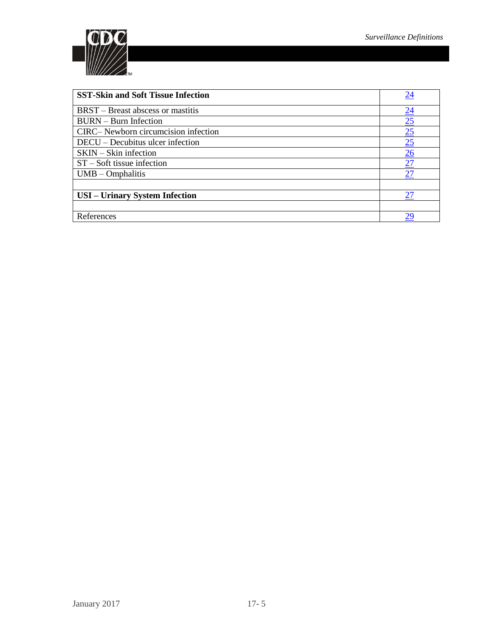

| <b>SST-Skin and Soft Tissue Infection</b> | 24              |
|-------------------------------------------|-----------------|
| <b>BRST</b> – Breast abscess or mastitis  | $\overline{24}$ |
| <b>BURN</b> – Burn Infection              | $\frac{25}{25}$ |
| CIRC-Newborn circumcision infection       | $\overline{25}$ |
| DECU – Decubitus ulcer infection          | $\overline{25}$ |
| SKIN – Skin infection                     | 26              |
| $ST - Soft$ tissue infection              | 27              |
| $UMB - Omphalitis$                        | 27              |
|                                           |                 |
| <b>USI</b> – Urinary System Infection     | 27              |
|                                           |                 |
| References                                | 29              |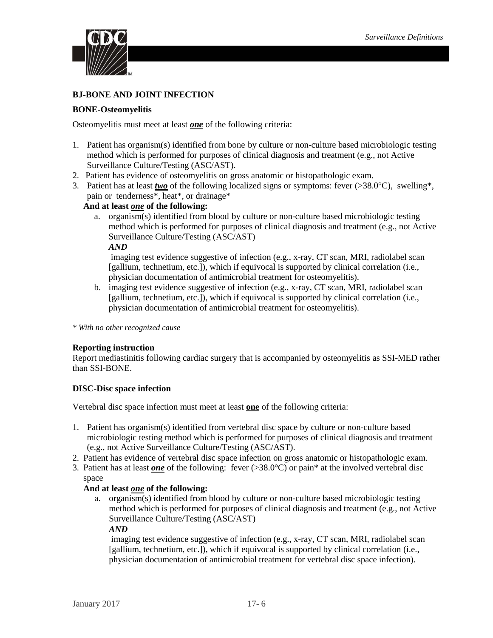

### **BJ-BONE AND JOINT INFECTION**

### <span id="page-5-0"></span>**BONE-Osteomyelitis**

Osteomyelitis must meet at least *one* of the following criteria:

- 1. Patient has organism(s) identified from bone by culture or non-culture based microbiologic testing method which is performed for purposes of clinical diagnosis and treatment (e.g., not Active Surveillance Culture/Testing (ASC/AST).
- 2. Patient has evidence of osteomyelitis on gross anatomic or histopathologic exam.
- 3. Patient has at least *two* of the following localized signs or symptoms: fever ( $>38.0^{\circ}$ C), swelling\*, pain or tenderness\*, heat\*, or drainage\*

#### **And at least** *one* **of the following:**

a. organism(s) identified from blood by culture or non-culture based microbiologic testing method which is performed for purposes of clinical diagnosis and treatment (e.g., not Active Surveillance Culture/Testing (ASC/AST)

*AND*

imaging test evidence suggestive of infection (e.g., x-ray, CT scan, MRI, radiolabel scan [gallium, technetium, etc.]), which if equivocal is supported by clinical correlation (i.e., physician documentation of antimicrobial treatment for osteomyelitis).

b. imaging test evidence suggestive of infection (e.g., x-ray, CT scan, MRI, radiolabel scan [gallium, technetium, etc.]), which if equivocal is supported by clinical correlation (i.e., physician documentation of antimicrobial treatment for osteomyelitis).

*\* With no other recognized cause*

#### **Reporting instruction**

Report mediastinitis following cardiac surgery that is accompanied by osteomyelitis as SSI-MED rather than SSI-BONE.

#### <span id="page-5-1"></span>**DISC-Disc space infection**

Vertebral disc space infection must meet at least **one** of the following criteria:

- 1. Patient has organism(s) identified from vertebral disc space by culture or non-culture based microbiologic testing method which is performed for purposes of clinical diagnosis and treatment (e.g., not Active Surveillance Culture/Testing (ASC/AST).
- 2. Patient has evidence of vertebral disc space infection on gross anatomic or histopathologic exam.
- 3. Patient has at least *one* of the following: fever (>38.0°C) or pain\* at the involved vertebral disc space

#### **And at least** *one* **of the following:**

a. organism(s) identified from blood by culture or non-culture based microbiologic testing method which is performed for purposes of clinical diagnosis and treatment (e.g., not Active Surveillance Culture/Testing (ASC/AST)

*AND*

imaging test evidence suggestive of infection (e.g., x-ray, CT scan, MRI, radiolabel scan [gallium, technetium, etc.]), which if equivocal is supported by clinical correlation (i.e., physician documentation of antimicrobial treatment for vertebral disc space infection).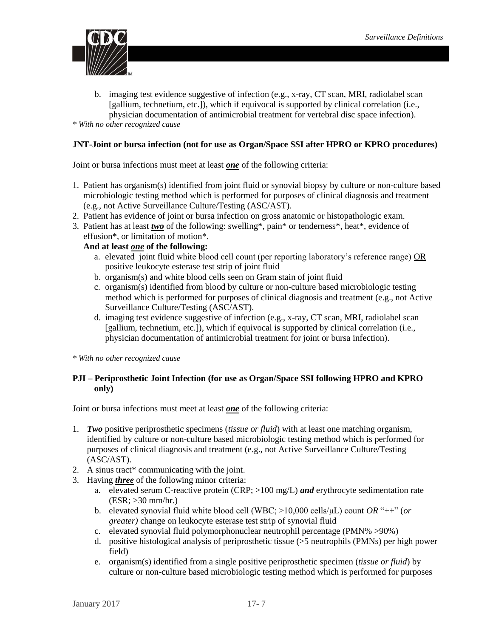

b. imaging test evidence suggestive of infection (e.g., x-ray, CT scan, MRI, radiolabel scan [gallium, technetium, etc.]), which if equivocal is supported by clinical correlation (i.e., physician documentation of antimicrobial treatment for vertebral disc space infection).

*\* With no other recognized cause* 

## <span id="page-6-0"></span>**JNT-Joint or bursa infection (not for use as Organ/Space SSI after HPRO or KPRO procedures)**

Joint or bursa infections must meet at least *one* of the following criteria:

- 1. Patient has organism(s) identified from joint fluid or synovial biopsy by culture or non-culture based microbiologic testing method which is performed for purposes of clinical diagnosis and treatment (e.g., not Active Surveillance Culture/Testing (ASC/AST).
- 2. Patient has evidence of joint or bursa infection on gross anatomic or histopathologic exam.
- 3. Patient has at least *two* of the following: swelling\*, pain\* or tenderness\*, heat\*, evidence of effusion\*, or limitation of motion\*.

## **And at least** *one* **of the following:**

- a. elevated joint fluid white blood cell count (per reporting laboratory's reference range) OR positive leukocyte esterase test strip of joint fluid
- b. organism(s) and white blood cells seen on Gram stain of joint fluid
- c. organism(s) identified from blood by culture or non-culture based microbiologic testing method which is performed for purposes of clinical diagnosis and treatment (e.g., not Active Surveillance Culture/Testing (ASC/AST).
- d. imaging test evidence suggestive of infection (e.g., x-ray, CT scan, MRI, radiolabel scan [gallium, technetium, etc.]), which if equivocal is supported by clinical correlation (i.e., physician documentation of antimicrobial treatment for joint or bursa infection).

*\* With no other recognized cause* 

## <span id="page-6-1"></span>**PJI – Periprosthetic Joint Infection (for use as Organ/Space SSI following HPRO and KPRO only)**

Joint or bursa infections must meet at least *one* of the following criteria:

- 1. *Two* positive periprosthetic specimens (*tissue or fluid*) with at least one matching organism, identified by culture or non-culture based microbiologic testing method which is performed for purposes of clinical diagnosis and treatment (e.g., not Active Surveillance Culture/Testing (ASC/AST).
- 2. A sinus tract\* communicating with the joint.
- 3. Having *three* of the following minor criteria:
	- a. elevated serum C-reactive protein (CRP; >100 mg/L) *and* erythrocyte sedimentation rate (ESR; >30 mm/hr.)
	- b. elevated synovial fluid white blood cell (WBC; >10,000 cells/μL) count *OR* "++" (*or greater)* change on leukocyte esterase test strip of synovial fluid
	- c. elevated synovial fluid polymorphonuclear neutrophil percentage (PMN% >90%)
	- d. positive histological analysis of periprosthetic tissue (>5 neutrophils (PMNs) per high power field)
	- e. organism(s) identified from a single positive periprosthetic specimen (*tissue or fluid*) by culture or non-culture based microbiologic testing method which is performed for purposes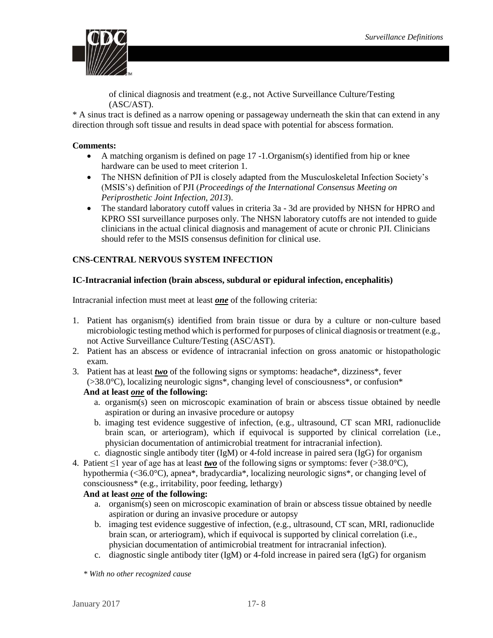

of clinical diagnosis and treatment (e.g., not Active Surveillance Culture/Testing (ASC/AST).

\* A sinus tract is defined as a narrow opening or passageway underneath the skin that can extend in any direction through soft tissue and results in dead space with potential for abscess formation.

## **Comments:**

- A matching organism is defined on page 17 -1.Organism(s) identified from hip or knee hardware can be used to meet criterion 1.
- The NHSN definition of PJI is closely adapted from the Musculoskeletal Infection Society's (MSIS's) definition of PJI (*Proceedings of the International Consensus Meeting on Periprosthetic Joint Infection, 2013*).
- The standard laboratory cutoff values in criteria 3a 3d are provided by NHSN for HPRO and KPRO SSI surveillance purposes only. The NHSN laboratory cutoffs are not intended to guide clinicians in the actual clinical diagnosis and management of acute or chronic PJI. Clinicians should refer to the MSIS consensus definition for clinical use.

## <span id="page-7-0"></span>**CNS-CENTRAL NERVOUS SYSTEM INFECTION**

## <span id="page-7-1"></span>**IC-Intracranial infection (brain abscess, subdural or epidural infection, encephalitis)**

Intracranial infection must meet at least *one* of the following criteria:

- 1. Patient has organism(s) identified from brain tissue or dura by a culture or non-culture based microbiologic testing method which is performed for purposes of clinical diagnosis or treatment (e.g., not Active Surveillance Culture/Testing (ASC/AST).
- 2. Patient has an abscess or evidence of intracranial infection on gross anatomic or histopathologic exam.
- 3. Patient has at least *two* of the following signs or symptoms: headache\*, dizziness\*, fever (>38.0°C), localizing neurologic signs\*, changing level of consciousness\*, or confusion\*

## **And at least** *one* **of the following:**

- a. organism(s) seen on microscopic examination of brain or abscess tissue obtained by needle aspiration or during an invasive procedure or autopsy
- b. imaging test evidence suggestive of infection, (e.g., ultrasound, CT scan MRI, radionuclide brain scan, or arteriogram), which if equivocal is supported by clinical correlation (i.e., physician documentation of antimicrobial treatment for intracranial infection).
- c. diagnostic single antibody titer (IgM) or 4-fold increase in paired sera (IgG) for organism
- 4. Patient ≤1 year of age has at least *two* of the following signs or symptoms: fever (>38.0°C), hypothermia (<36.0°C), apnea\*, bradycardia\*, localizing neurologic signs\*, or changing level of consciousness\* (e.g., irritability, poor feeding, lethargy)

## **And at least** *one* **of the following:**

- a. organism(s) seen on microscopic examination of brain or abscess tissue obtained by needle aspiration or during an invasive procedure or autopsy
- b. imaging test evidence suggestive of infection, (e.g., ultrasound, CT scan, MRI, radionuclide brain scan, or arteriogram), which if equivocal is supported by clinical correlation (i.e., physician documentation of antimicrobial treatment for intracranial infection).
- c. diagnostic single antibody titer (IgM) or 4-fold increase in paired sera (IgG) for organism

*\* With no other recognized cause*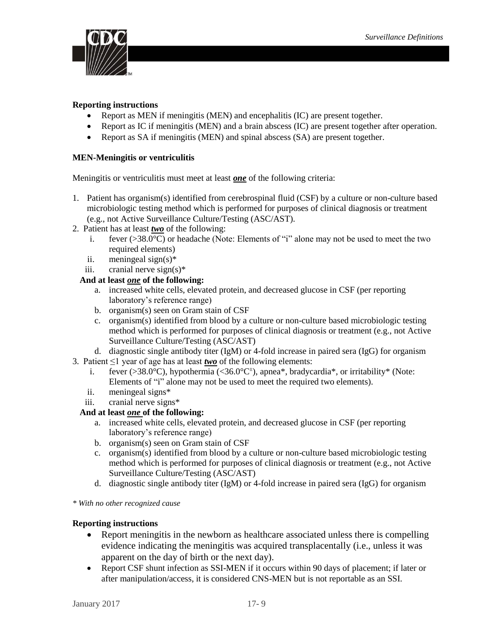

## **Reporting instructions**

- Report as MEN if meningitis (MEN) and encephalitis (IC) are present together.
- Report as IC if meningitis (MEN) and a brain abscess (IC) are present together after operation.
- Report as SA if meningitis (MEN) and spinal abscess (SA) are present together.

## <span id="page-8-0"></span>**MEN-Meningitis or ventriculitis**

Meningitis or ventriculitis must meet at least *one* of the following criteria:

- 1. Patient has organism(s) identified from cerebrospinal fluid (CSF) by a culture or non-culture based microbiologic testing method which is performed for purposes of clinical diagnosis or treatment (e.g., not Active Surveillance Culture/Testing (ASC/AST).
- 2. Patient has at least *two* of the following:
	- i. fever (>38.0°C) or headache (Note: Elements of "i" alone may not be used to meet the two required elements)
	- ii. meningeal sign(s)\*
	- iii. cranial nerve  $sign(s)^*$

## **And at least** *one* **of the following:**

- a. increased white cells, elevated protein, and decreased glucose in CSF (per reporting laboratory's reference range)
- b. organism(s) seen on Gram stain of CSF
- c. organism(s) identified from blood by a culture or non-culture based microbiologic testing method which is performed for purposes of clinical diagnosis or treatment (e.g., not Active Surveillance Culture/Testing (ASC/AST)
- d. diagnostic single antibody titer (IgM) or 4-fold increase in paired sera (IgG) for organism
- 3. Patient  $\leq 1$  year of age has at least *two* of the following elements:
	- i. fever  $(>38.0^{\circ}C)$ , hypothermia  $(<36.0^{\circ}C^{\dagger})$ , apnea\*, bradycardia\*, or irritability\* (Note: Elements of "i" alone may not be used to meet the required two elements).
	- ii. meningeal signs\*
	- iii. cranial nerve signs\*

## **And at least** *one* **of the following:**

- a. increased white cells, elevated protein, and decreased glucose in CSF (per reporting laboratory's reference range)
- b. organism(s) seen on Gram stain of CSF
- c. organism(s) identified from blood by a culture or non-culture based microbiologic testing method which is performed for purposes of clinical diagnosis or treatment (e.g., not Active Surveillance Culture/Testing (ASC/AST)
- d. diagnostic single antibody titer (IgM) or 4-fold increase in paired sera (IgG) for organism

*\* With no other recognized cause*

## **Reporting instructions**

- Report meningitis in the newborn as healthcare associated unless there is compelling evidence indicating the meningitis was acquired transplacentally (i.e., unless it was apparent on the day of birth or the next day).
- Report CSF shunt infection as SSI-MEN if it occurs within 90 days of placement; if later or after manipulation/access, it is considered CNS-MEN but is not reportable as an SSI.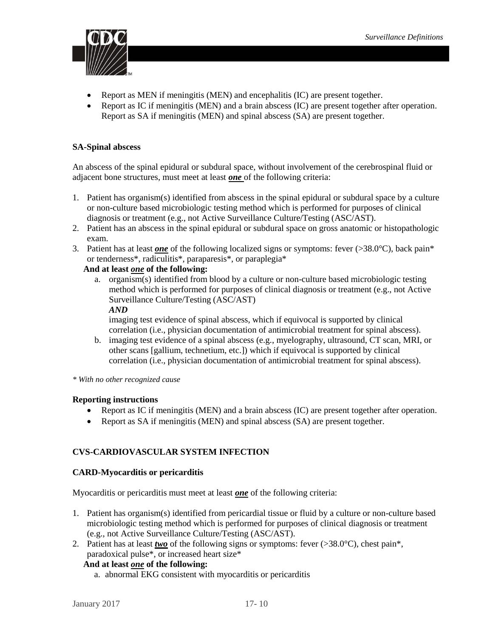

- Report as MEN if meningitis (MEN) and encephalitis (IC) are present together.
- Report as IC if meningitis (MEN) and a brain abscess (IC) are present together after operation. Report as SA if meningitis (MEN) and spinal abscess (SA) are present together.

## <span id="page-9-0"></span>**SA-Spinal abscess**

An abscess of the spinal epidural or subdural space, without involvement of the cerebrospinal fluid or adjacent bone structures, must meet at least *one* of the following criteria:

- 1. Patient has organism(s) identified from abscess in the spinal epidural or subdural space by a culture or non-culture based microbiologic testing method which is performed for purposes of clinical diagnosis or treatment (e.g., not Active Surveillance Culture/Testing (ASC/AST).
- 2. Patient has an abscess in the spinal epidural or subdural space on gross anatomic or histopathologic exam.
- 3. Patient has at least *one* of the following localized signs or symptoms: fever (>38.0°C), back pain\* or tenderness\*, radiculitis\*, paraparesis\*, or paraplegia\*

## **And at least** *one* **of the following:**

a. organism(s) identified from blood by a culture or non-culture based microbiologic testing method which is performed for purposes of clinical diagnosis or treatment (e.g., not Active Surveillance Culture/Testing (ASC/AST) *AND*

imaging test evidence of spinal abscess, which if equivocal is supported by clinical correlation (i.e., physician documentation of antimicrobial treatment for spinal abscess).

- b. imaging test evidence of a spinal abscess (e.g., myelography, ultrasound, CT scan, MRI, or other scans [gallium, technetium, etc.]) which if equivocal is supported by clinical correlation (i.e., physician documentation of antimicrobial treatment for spinal abscess).
- *\* With no other recognized cause*

#### **Reporting instructions**

- Report as IC if meningitis (MEN) and a brain abscess (IC) are present together after operation.
- Report as SA if meningitis (MEN) and spinal abscess (SA) are present together.

## <span id="page-9-1"></span>**CVS-CARDIOVASCULAR SYSTEM INFECTION**

#### <span id="page-9-2"></span>**CARD-Myocarditis or pericarditis**

Myocarditis or pericarditis must meet at least *one* of the following criteria:

- 1. Patient has organism(s) identified from pericardial tissue or fluid by a culture or non-culture based microbiologic testing method which is performed for purposes of clinical diagnosis or treatment (e.g., not Active Surveillance Culture/Testing (ASC/AST).
- 2. Patient has at least *two* of the following signs or symptoms: fever  $(>38.0^{\circ}C)$ , chest pain\*, paradoxical pulse\*, or increased heart size\*

#### **And at least** *one* **of the following:**

a. abnormal EKG consistent with myocarditis or pericarditis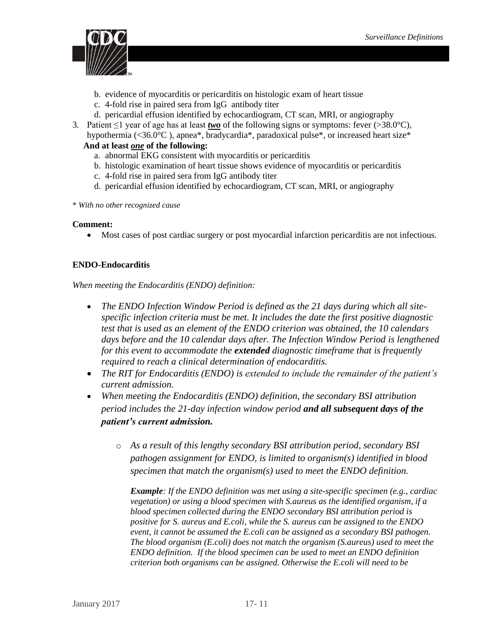

- b. evidence of myocarditis or pericarditis on histologic exam of heart tissue
- c. 4-fold rise in paired sera from IgG antibody titer
- d. pericardial effusion identified by echocardiogram, CT scan, MRI, or angiography
- 3. Patient  $\leq 1$  year of age has at least *two* of the following signs or symptoms: fever (>38.0°C), hypothermia (<36.0°C ), apnea\*, bradycardia\*, paradoxical pulse\*, or increased heart size\*

## **And at least** *one* **of the following:**

- a. abnormal EKG consistent with myocarditis or pericarditis
- b. histologic examination of heart tissue shows evidence of myocarditis or pericarditis
- c. 4-fold rise in paired sera from IgG antibody titer
- d. pericardial effusion identified by echocardiogram, CT scan, MRI, or angiography
- \* *With no other recognized cause*

#### **Comment:**

Most cases of post cardiac surgery or post myocardial infarction pericarditis are not infectious.

## <span id="page-10-0"></span>**ENDO-Endocarditis**

*When meeting the Endocarditis (ENDO) definition:* 

- *The ENDO Infection Window Period is defined as the 21 days during which all sitespecific infection criteria must be met. It includes the date the first positive diagnostic test that is used as an element of the ENDO criterion was obtained, the 10 calendars days before and the 10 calendar days after. The Infection Window Period is lengthened for this event to accommodate the extended diagnostic timeframe that is frequently required to reach a clinical determination of endocarditis.*
- *The RIT for Endocarditis (ENDO) is extended to include the remainder of the patient's current admission.*
- *When meeting the Endocarditis (ENDO) definition, the secondary BSI attribution period includes the 21-day infection window period and all subsequent days of the patient's current admission.* 
	- o *As a result of this lengthy secondary BSI attribution period, secondary BSI pathogen assignment for ENDO, is limited to organism(s) identified in blood specimen that match the organism(s) used to meet the ENDO definition.*

*Example: If the ENDO definition was met using a site-specific specimen (e.g., cardiac vegetation) or using a blood specimen with S.aureus as the identified organism, if a blood specimen collected during the ENDO secondary BSI attribution period is positive for S. aureus and E.coli, while the S. aureus can be assigned to the ENDO event, it cannot be assumed the E.coli can be assigned as a secondary BSI pathogen. The blood organism (E.coli) does not match the organism (S.aureus) used to meet the ENDO definition. If the blood specimen can be used to meet an ENDO definition criterion both organisms can be assigned. Otherwise the E.coli will need to be*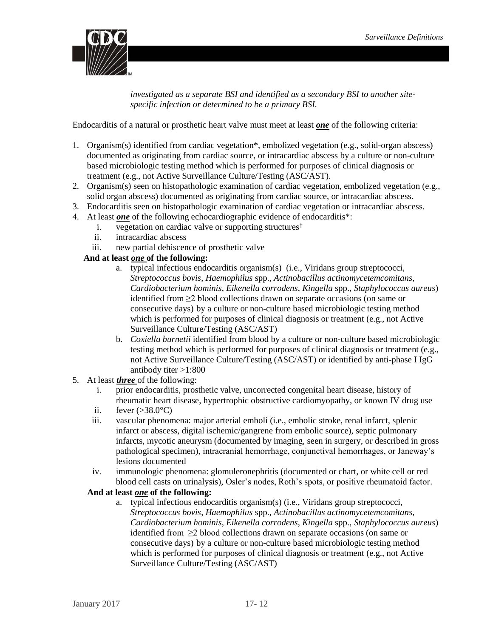

*investigated as a separate BSI and identified as a secondary BSI to another sitespecific infection or determined to be a primary BSI.* 

Endocarditis of a natural or prosthetic heart valve must meet at least *one* of the following criteria:

- 1. Organism(s) identified from cardiac vegetation\*, embolized vegetation (e.g., solid-organ abscess) documented as originating from cardiac source, or intracardiac abscess by a culture or non-culture based microbiologic testing method which is performed for purposes of clinical diagnosis or treatment (e.g., not Active Surveillance Culture/Testing (ASC/AST).
- 2. Organism(s) seen on histopathologic examination of cardiac vegetation, embolized vegetation (e.g., solid organ abscess) documented as originating from cardiac source, or intracardiac abscess.
- 3. Endocarditis seen on histopathologic examination of cardiac vegetation or intracardiac abscess.
- 4. At least *one* of the following echocardiographic evidence of endocarditis\*:
	- i. vegetation on cardiac valve or supporting structures†
	- ii. intracardiac abscess
	- iii. new partial dehiscence of prosthetic valve

## **And at least** *one* **of the following:**

- a. typical infectious endocarditis organism(s) (i.e., Viridans group streptococci, *Streptococcus bovis*, *Haemophilus* spp., *Actinobacillus actinomycetemcomitans*, *Cardiobacterium hominis*, *Eikenella corrodens*, *Kingella* spp., *Staphylococcus aureus*) identified from ≥2 blood collections drawn on separate occasions (on same or consecutive days) by a culture or non-culture based microbiologic testing method which is performed for purposes of clinical diagnosis or treatment (e.g., not Active Surveillance Culture/Testing (ASC/AST)
- b. *Coxiella burnetii* identified from blood by a culture or non-culture based microbiologic testing method which is performed for purposes of clinical diagnosis or treatment (e.g., not Active Surveillance Culture/Testing (ASC/AST) or identified by anti-phase I IgG antibody titer >1:800
- 5. At least *three* of the following:
	- i. prior endocarditis, prosthetic valve, uncorrected congenital heart disease, history of rheumatic heart disease, hypertrophic obstructive cardiomyopathy, or known IV drug use
	- ii. fever  $(>38.0^{\circ}C)$
	- iii. vascular phenomena: major arterial emboli (i.e., embolic stroke, renal infarct, splenic infarct or abscess, digital ischemic/gangrene from embolic source), septic pulmonary infarcts, mycotic aneurysm (documented by imaging, seen in surgery, or described in gross pathological specimen), intracranial hemorrhage, conjunctival hemorrhages, or Janeway's lesions documented
	- iv. immunologic phenomena: glomuleronephritis (documented or chart, or white cell or red blood cell casts on urinalysis), Osler's nodes, Roth's spots, or positive rheumatoid factor.

#### **And at least** *one* **of the following:**

a. typical infectious endocarditis organism(s) (i.e., Viridans group streptococci, *Streptococcus bovis*, *Haemophilus* spp., *Actinobacillus actinomycetemcomitans*, *Cardiobacterium hominis*, *Eikenella corrodens*, *Kingella* spp., *Staphylococcus aureus*) identified from ≥2 blood collections drawn on separate occasions (on same or consecutive days) by a culture or non-culture based microbiologic testing method which is performed for purposes of clinical diagnosis or treatment (e.g., not Active Surveillance Culture/Testing (ASC/AST)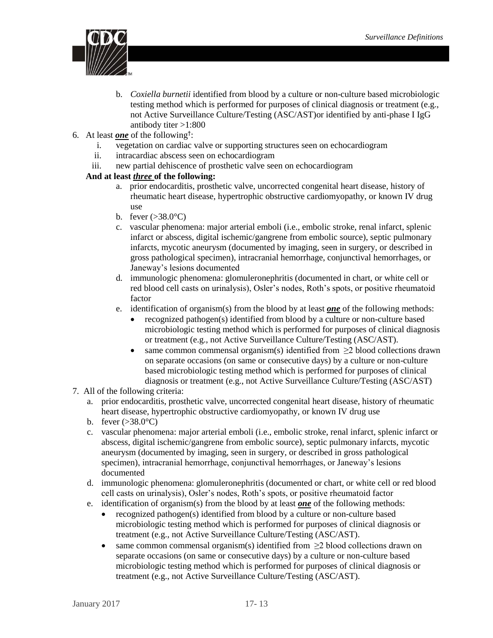

- b. *Coxiella burnetii* identified from blood by a culture or non-culture based microbiologic testing method which is performed for purposes of clinical diagnosis or treatment (e.g., not Active Surveillance Culture/Testing (ASC/AST)or identified by anti-phase I IgG antibody titer >1:800
- 6. At least *one* of the following† :
	- i. vegetation on cardiac valve or supporting structures seen on echocardiogram
	- ii. intracardiac abscess seen on echocardiogram
	- iii. new partial dehiscence of prosthetic valve seen on echocardiogram

## **And at least** *three* **of the following:**

- a. prior endocarditis, prosthetic valve, uncorrected congenital heart disease, history of rheumatic heart disease, hypertrophic obstructive cardiomyopathy, or known IV drug use
- b. fever  $(>38.0^{\circ}C)$
- c. vascular phenomena: major arterial emboli (i.e., embolic stroke, renal infarct, splenic infarct or abscess, digital ischemic/gangrene from embolic source), septic pulmonary infarcts, mycotic aneurysm (documented by imaging, seen in surgery, or described in gross pathological specimen), intracranial hemorrhage, conjunctival hemorrhages, or Janeway's lesions documented
- d. immunologic phenomena: glomuleronephritis (documented in chart, or white cell or red blood cell casts on urinalysis), Osler's nodes, Roth's spots, or positive rheumatoid factor
- e. identification of organism(s) from the blood by at least *one* of the following methods:
	- recognized pathogen(s) identified from blood by a culture or non-culture based microbiologic testing method which is performed for purposes of clinical diagnosis or treatment (e.g., not Active Surveillance Culture/Testing (ASC/AST).
	- same common commensal organism(s) identified from  $\geq$ 2 blood collections drawn on separate occasions (on same or consecutive days) by a culture or non-culture based microbiologic testing method which is performed for purposes of clinical diagnosis or treatment (e.g., not Active Surveillance Culture/Testing (ASC/AST)

#### 7. All of the following criteria:

- a. prior endocarditis, prosthetic valve, uncorrected congenital heart disease, history of rheumatic heart disease, hypertrophic obstructive cardiomyopathy, or known IV drug use
- b. fever  $(>38.0^{\circ}C)$
- c. vascular phenomena: major arterial emboli (i.e., embolic stroke, renal infarct, splenic infarct or abscess, digital ischemic/gangrene from embolic source), septic pulmonary infarcts, mycotic aneurysm (documented by imaging, seen in surgery, or described in gross pathological specimen), intracranial hemorrhage, conjunctival hemorrhages, or Janeway's lesions documented
- d. immunologic phenomena: glomuleronephritis (documented or chart, or white cell or red blood cell casts on urinalysis), Osler's nodes, Roth's spots, or positive rheumatoid factor
- e. identification of organism(s) from the blood by at least *one* of the following methods:
	- recognized pathogen(s) identified from blood by a culture or non-culture based microbiologic testing method which is performed for purposes of clinical diagnosis or treatment (e.g., not Active Surveillance Culture/Testing (ASC/AST).
	- same common commensal organism(s) identified from  $\geq$  blood collections drawn on separate occasions (on same or consecutive days) by a culture or non-culture based microbiologic testing method which is performed for purposes of clinical diagnosis or treatment (e.g., not Active Surveillance Culture/Testing (ASC/AST).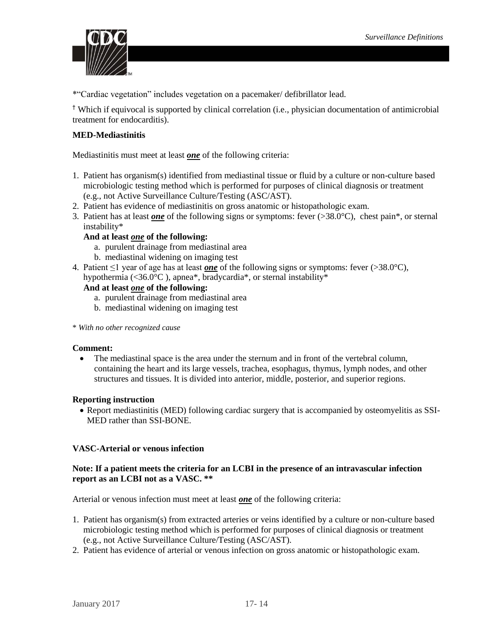

\*"Cardiac vegetation" includes vegetation on a pacemaker/ defibrillator lead.

† Which if equivocal is supported by clinical correlation (i.e., physician documentation of antimicrobial treatment for endocarditis).

## <span id="page-13-0"></span>**MED-Mediastinitis**

Mediastinitis must meet at least *one* of the following criteria:

- 1. Patient has organism(s) identified from mediastinal tissue or fluid by a culture or non-culture based microbiologic testing method which is performed for purposes of clinical diagnosis or treatment (e.g., not Active Surveillance Culture/Testing (ASC/AST).
- 2. Patient has evidence of mediastinitis on gross anatomic or histopathologic exam.
- 3. Patient has at least *one* of the following signs or symptoms: fever (>38.0°C), chest pain\*, or sternal instability\*

#### **And at least** *one* **of the following:**

- a. purulent drainage from mediastinal area
- b. mediastinal widening on imaging test
- 4. Patient ≤1 year of age has at least *one* of the following signs or symptoms: fever (>38.0°C), hypothermia (<36.0°C ), apnea\*, bradycardia\*, or sternal instability\*

## **And at least** *one* **of the following:**

- a. purulent drainage from mediastinal area
- b. mediastinal widening on imaging test
- \* *With no other recognized cause*

#### **Comment:**

• The mediastinal space is the area under the sternum and in front of the vertebral column, containing the heart and its large vessels, trachea, esophagus, thymus, lymph nodes, and other structures and tissues. It is divided into anterior, middle, posterior, and superior regions.

#### **Reporting instruction**

 Report mediastinitis (MED) following cardiac surgery that is accompanied by osteomyelitis as SSI-MED rather than SSI-BONE.

#### <span id="page-13-1"></span>**VASC-Arterial or venous infection**

#### **Note: If a patient meets the criteria for an LCBI in the presence of an intravascular infection report as an LCBI not as a VASC. \*\***

Arterial or venous infection must meet at least *one* of the following criteria:

- 1. Patient has organism(s) from extracted arteries or veins identified by a culture or non-culture based microbiologic testing method which is performed for purposes of clinical diagnosis or treatment (e.g., not Active Surveillance Culture/Testing (ASC/AST).
- 2. Patient has evidence of arterial or venous infection on gross anatomic or histopathologic exam.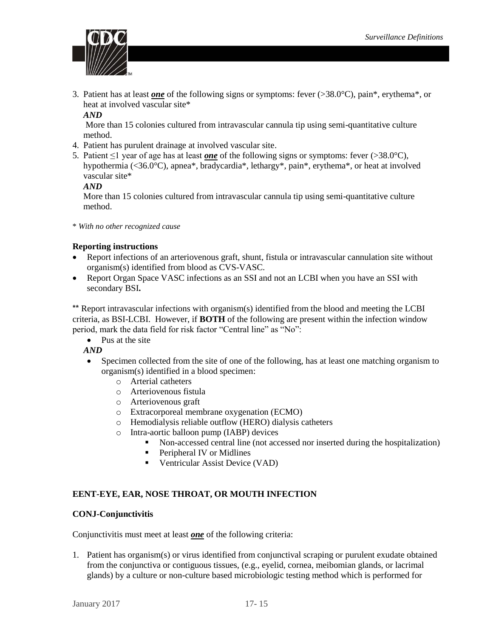

3. Patient has at least *one* of the following signs or symptoms: fever (>38.0°C), pain\*, erythema\*, or heat at involved vascular site\*

### *AND*

More than 15 colonies cultured from intravascular cannula tip using semi-quantitative culture method.

- 4. Patient has purulent drainage at involved vascular site.
- 5. Patient ≤1 year of age has at least *one* of the following signs or symptoms: fever (>38.0°C), hypothermia (<36.0°C), apnea\*, bradycardia\*, lethargy\*, pain\*, erythema\*, or heat at involved vascular site\*

## *AND*

More than 15 colonies cultured from intravascular cannula tip using semi-quantitative culture method.

\* *With no other recognized cause* 

## **Reporting instructions**

- Report infections of an arteriovenous graft, shunt, fistula or intravascular cannulation site without organism(s) identified from blood as CVS-VASC.
- Report Organ Space VASC infections as an SSI and not an LCBI when you have an SSI with secondary BSI**.**

\*\* Report intravascular infections with organism(s) identified from the blood and meeting the LCBI criteria, as BSI-LCBI. However, if **BOTH** of the following are present within the infection window period, mark the data field for risk factor "Central line" as "No":

• Pus at the site

*AND*

- Specimen collected from the site of one of the following, has at least one matching organism to organism(s) identified in a blood specimen:
	- o Arterial catheters
	- o Arteriovenous fistula
	- o Arteriovenous graft
	- o Extracorporeal membrane oxygenation (ECMO)
	- o Hemodialysis reliable outflow (HERO) dialysis catheters
	- o Intra-aortic balloon pump (IABP) devices
		- Non-accessed central line (not accessed nor inserted during the hospitalization)
		- **Peripheral IV or Midlines**
		- Ventricular Assist Device (VAD)

## <span id="page-14-0"></span>**EENT-EYE, EAR, NOSE THROAT, OR MOUTH INFECTION**

#### <span id="page-14-1"></span>**CONJ-Conjunctivitis**

Conjunctivitis must meet at least *one* of the following criteria:

1. Patient has organism(s) or virus identified from conjunctival scraping or purulent exudate obtained from the conjunctiva or contiguous tissues, (e.g., eyelid, cornea, meibomian glands, or lacrimal glands) by a culture or non-culture based microbiologic testing method which is performed for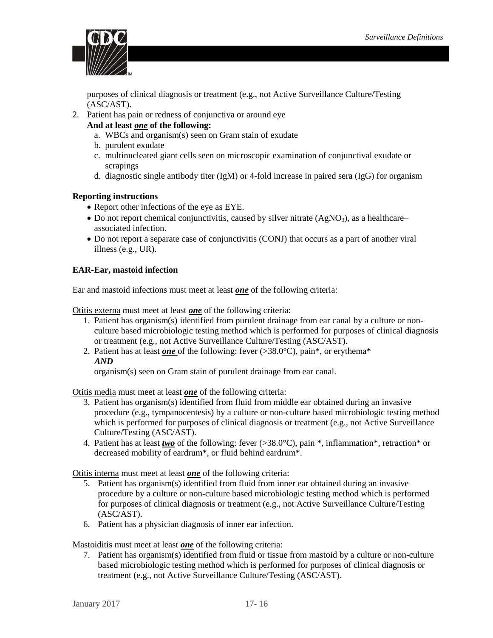

purposes of clinical diagnosis or treatment (e.g., not Active Surveillance Culture/Testing (ASC/AST).

- 2. Patient has pain or redness of conjunctiva or around eye
	- **And at least** *one* **of the following:**
		- a. WBCs and organism(s) seen on Gram stain of exudate
		- b. purulent exudate
		- c. multinucleated giant cells seen on microscopic examination of conjunctival exudate or scrapings
		- d. diagnostic single antibody titer (IgM) or 4-fold increase in paired sera (IgG) for organism

## **Reporting instructions**

- Report other infections of the eye as EYE.
- $\bullet$  Do not report chemical conjunctivitis, caused by silver nitrate (AgNO<sub>3</sub>), as a healthcare– associated infection.
- Do not report a separate case of conjunctivitis (CONJ) that occurs as a part of another viral illness (e.g., UR).

#### <span id="page-15-0"></span>**EAR-Ear, mastoid infection**

Ear and mastoid infections must meet at least *one* of the following criteria:

Otitis externa must meet at least *one* of the following criteria:

- 1. Patient has organism(s) identified from purulent drainage from ear canal by a culture or nonculture based microbiologic testing method which is performed for purposes of clinical diagnosis or treatment (e.g., not Active Surveillance Culture/Testing (ASC/AST).
- 2. Patient has at least *one* of the following: fever (>38.0°C), pain\*, or erythema\* *AND*

organism(s) seen on Gram stain of purulent drainage from ear canal.

Otitis media must meet at least *one* of the following criteria:

- 3. Patient has organism(s) identified from fluid from middle ear obtained during an invasive procedure (e.g., tympanocentesis) by a culture or non-culture based microbiologic testing method which is performed for purposes of clinical diagnosis or treatment (e.g., not Active Surveillance Culture/Testing (ASC/AST).
- 4. Patient has at least *two* of the following: fever (>38.0°C), pain \*, inflammation\*, retraction\* or decreased mobility of eardrum\*, or fluid behind eardrum\*.

Otitis interna must meet at least *one* of the following criteria:

- 5. Patient has organism(s) identified from fluid from inner ear obtained during an invasive procedure by a culture or non-culture based microbiologic testing method which is performed for purposes of clinical diagnosis or treatment (e.g., not Active Surveillance Culture/Testing (ASC/AST).
- 6. Patient has a physician diagnosis of inner ear infection.

Mastoiditis must meet at least *one* of the following criteria:

7. Patient has organism(s) identified from fluid or tissue from mastoid by a culture or non-culture based microbiologic testing method which is performed for purposes of clinical diagnosis or treatment (e.g., not Active Surveillance Culture/Testing (ASC/AST).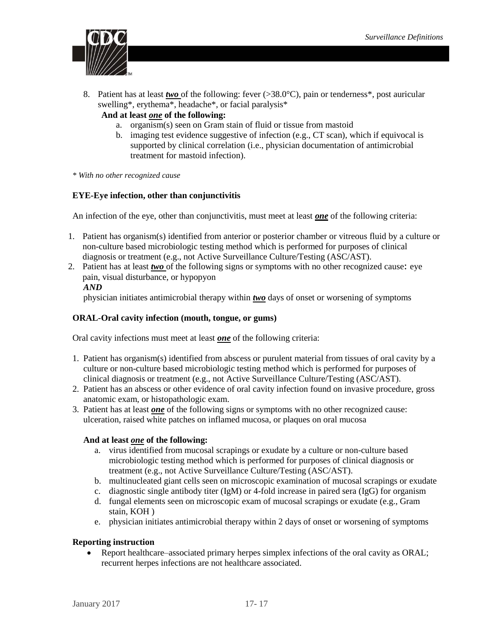

8. Patient has at least *two* of the following: fever (>38.0°C), pain or tenderness\*, post auricular swelling\*, erythema\*, headache\*, or facial paralysis\*

## **And at least** *one* **of the following:**

- a. organism(s) seen on Gram stain of fluid or tissue from mastoid
- b. imaging test evidence suggestive of infection (e.g., CT scan), which if equivocal is supported by clinical correlation (i.e., physician documentation of antimicrobial treatment for mastoid infection).

*\* With no other recognized cause* 

#### <span id="page-16-0"></span>**EYE-Eye infection, other than conjunctivitis**

An infection of the eye, other than conjunctivitis, must meet at least *one* of the following criteria:

- 1. Patient has organism(s) identified from anterior or posterior chamber or vitreous fluid by a culture or non-culture based microbiologic testing method which is performed for purposes of clinical diagnosis or treatment (e.g., not Active Surveillance Culture/Testing (ASC/AST).
- 2. Patient has at least *two* of the following signs or symptoms with no other recognized cause: eye pain, visual disturbance, or hypopyon *AND*

physician initiates antimicrobial therapy within *two* days of onset or worsening of symptoms

#### <span id="page-16-1"></span>**ORAL-Oral cavity infection (mouth, tongue, or gums)**

Oral cavity infections must meet at least *one* of the following criteria:

- 1. Patient has organism(s) identified from abscess or purulent material from tissues of oral cavity by a culture or non-culture based microbiologic testing method which is performed for purposes of clinical diagnosis or treatment (e.g., not Active Surveillance Culture/Testing (ASC/AST).
- 2. Patient has an abscess or other evidence of oral cavity infection found on invasive procedure, gross anatomic exam, or histopathologic exam.
- 3. Patient has at least *one* of the following signs or symptoms with no other recognized cause: ulceration, raised white patches on inflamed mucosa, or plaques on oral mucosa

#### **And at least** *one* **of the following:**

- a. virus identified from mucosal scrapings or exudate by a culture or non-culture based microbiologic testing method which is performed for purposes of clinical diagnosis or treatment (e.g., not Active Surveillance Culture/Testing (ASC/AST).
- b. multinucleated giant cells seen on microscopic examination of mucosal scrapings or exudate
- c. diagnostic single antibody titer (IgM) or 4-fold increase in paired sera (IgG) for organism
- d. fungal elements seen on microscopic exam of mucosal scrapings or exudate (e.g., Gram stain, KOH )
- e. physician initiates antimicrobial therapy within 2 days of onset or worsening of symptoms

#### **Reporting instruction**

 Report healthcare–associated primary herpes simplex infections of the oral cavity as ORAL; recurrent herpes infections are not healthcare associated.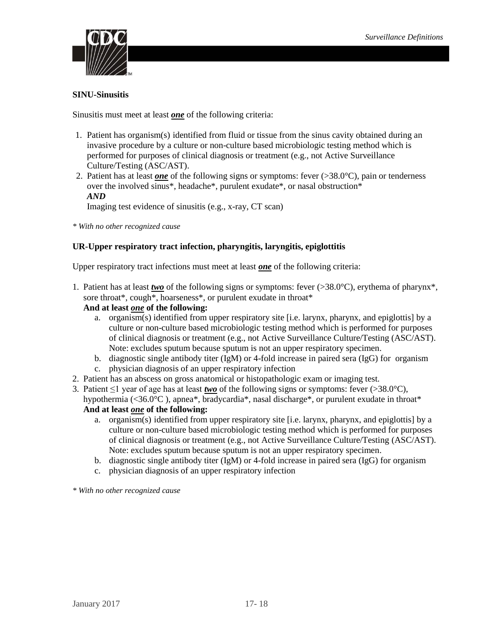

### <span id="page-17-0"></span>**SINU-Sinusitis**

Sinusitis must meet at least *one* of the following criteria:

- 1. Patient has organism(s) identified from fluid or tissue from the sinus cavity obtained during an invasive procedure by a culture or non-culture based microbiologic testing method which is performed for purposes of clinical diagnosis or treatment (e.g., not Active Surveillance Culture/Testing (ASC/AST).
- 2. Patient has at least *one* of the following signs or symptoms: fever (>38.0°C), pain or tenderness over the involved sinus\*, headache\*, purulent exudate\*, or nasal obstruction\* *AND*

Imaging test evidence of sinusitis (e.g., x-ray, CT scan)

*\* With no other recognized cause* 

## <span id="page-17-1"></span>**UR-Upper respiratory tract infection, pharyngitis, laryngitis, epiglottitis**

Upper respiratory tract infections must meet at least *one* of the following criteria:

1. Patient has at least *two* of the following signs or symptoms: fever (>38.0°C), erythema of pharynx\*, sore throat\*, cough\*, hoarseness\*, or purulent exudate in throat\*

#### **And at least** *one* **of the following:**

- a. organism(s) identified from upper respiratory site [i.e. larynx, pharynx, and epiglottis] by a culture or non-culture based microbiologic testing method which is performed for purposes of clinical diagnosis or treatment (e.g., not Active Surveillance Culture/Testing (ASC/AST). Note: excludes sputum because sputum is not an upper respiratory specimen.
- b. diagnostic single antibody titer (IgM) or 4-fold increase in paired sera (IgG) for organism
- c. physician diagnosis of an upper respiratory infection
- 2. Patient has an abscess on gross anatomical or histopathologic exam or imaging test.
- 3. Patient  $\leq 1$  year of age has at least *two* of the following signs or symptoms: fever (>38.0°C), hypothermia (<36.0°C), apnea\*, bradycardia\*, nasal discharge\*, or purulent exudate in throat\*

**And at least** *one* **of the following:** 

- a. organism(s) identified from upper respiratory site [i.e. larynx, pharynx, and epiglottis] by a culture or non-culture based microbiologic testing method which is performed for purposes of clinical diagnosis or treatment (e.g., not Active Surveillance Culture/Testing (ASC/AST). Note: excludes sputum because sputum is not an upper respiratory specimen.
- b. diagnostic single antibody titer (IgM) or 4-fold increase in paired sera (IgG) for organism
- c. physician diagnosis of an upper respiratory infection

*\* With no other recognized cause*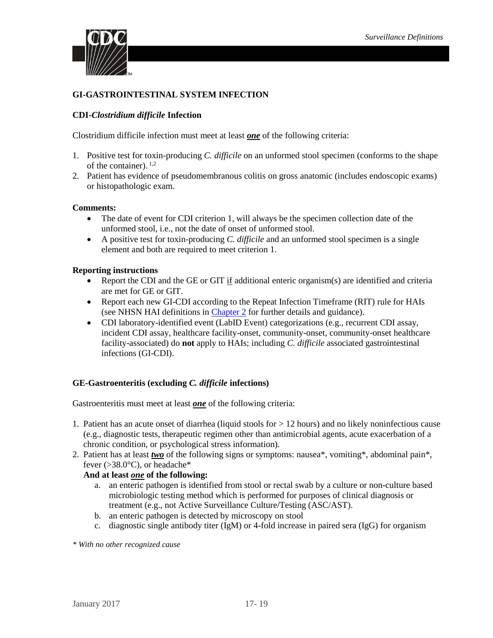

## <span id="page-18-0"></span>**GI-GASTROINTESTINAL SYSTEM INFECTION**

### <span id="page-18-1"></span>**CDI-***Clostridium difficile* **Infection**

Clostridium difficile infection must meet at least *one* of the following criteria:

- 1. Positive test for toxin-producing *C. difficile* on an unformed stool specimen (conforms to the shape of the container).  $^{1,2}$
- 2. Patient has evidence of pseudomembranous colitis on gross anatomic (includes endoscopic exams) or histopathologic exam.

#### **Comments:**

- The date of event for CDI criterion 1, will always be the specimen collection date of the unformed stool, i.e., not the date of onset of unformed stool.
- A positive test for toxin-producing *C. difficile* and an unformed stool specimen is a single element and both are required to meet criterion 1.

#### **Reporting instructions**

- Report the CDI and the GE or GIT  $\underline{if}$  additional enteric organism(s) are identified and criteria are met for GE or GIT.
- Report each new GI-CDI according to the Repeat Infection Timeframe (RIT) rule for HAIs (see NHSN HAI definitions in [Chapter 2](https://www.cdc.gov/nhsn/PDFs/pscManual/2PSC_IdentifyingHAIs_NHSNcurrent.pdf) for further details and guidance).
- CDI laboratory-identified event (LabID Event) categorizations (e.g., recurrent CDI assay, incident CDI assay, healthcare facility-onset, community-onset, community-onset healthcare facility-associated) do **not** apply to HAIs; including *C. difficile* associated gastrointestinal infections (GI-CDI).

#### <span id="page-18-2"></span>**GE-Gastroenteritis (excluding** *C. difficile* **infections)**

Gastroenteritis must meet at least *one* of the following criteria:

- 1. Patient has an acute onset of diarrhea (liquid stools for > 12 hours) and no likely noninfectious cause (e.g., diagnostic tests, therapeutic regimen other than antimicrobial agents, acute exacerbation of a chronic condition, or psychological stress information).
- 2. Patient has at least *two* of the following signs or symptoms: nausea\*, vomiting\*, abdominal pain\*, fever ( $>38.0^{\circ}$ C), or headache\*

#### **And at least** *one* **of the following:**

- a. an enteric pathogen is identified from stool or rectal swab by a culture or non-culture based microbiologic testing method which is performed for purposes of clinical diagnosis or treatment (e.g., not Active Surveillance Culture/Testing (ASC/AST).
- b. an enteric pathogen is detected by microscopy on stool
- c. diagnostic single antibody titer (IgM) or 4-fold increase in paired sera (IgG) for organism

*\* With no other recognized cause*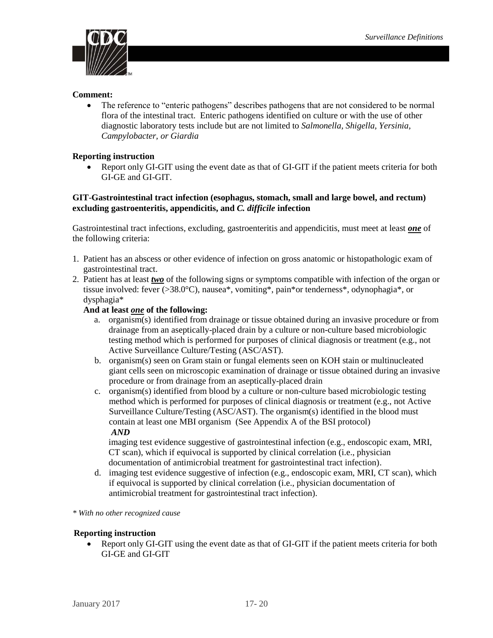

#### **Comment:**

• The reference to "enteric pathogens" describes pathogens that are not considered to be normal flora of the intestinal tract. Enteric pathogens identified on culture or with the use of other diagnostic laboratory tests include but are not limited to *Salmonella, Shigella, Yersinia, Campylobacter, or Giardia*

#### **Reporting instruction**

• Report only GI-GIT using the event date as that of GI-GIT if the patient meets criteria for both GI-GE and GI-GIT.

#### <span id="page-19-0"></span>**GIT**-**Gastrointestinal tract infection (esophagus, stomach, small and large bowel, and rectum) excluding gastroenteritis, appendicitis, and** *C. difficile* **infection**

Gastrointestinal tract infections, excluding, gastroenteritis and appendicitis, must meet at least *one* of the following criteria:

- 1. Patient has an abscess or other evidence of infection on gross anatomic or histopathologic exam of gastrointestinal tract.
- 2. Patient has at least *two* of the following signs or symptoms compatible with infection of the organ or tissue involved: fever (>38.0°C), nausea\*, vomiting\*, pain\*or tenderness\*, odynophagia\*, or dysphagia\*

### **And at least** *one* **of the following:**

- a. organism(s) identified from drainage or tissue obtained during an invasive procedure or from drainage from an aseptically-placed drain by a culture or non-culture based microbiologic testing method which is performed for purposes of clinical diagnosis or treatment (e.g., not Active Surveillance Culture/Testing (ASC/AST).
- b. organism(s) seen on Gram stain or fungal elements seen on KOH stain or multinucleated giant cells seen on microscopic examination of drainage or tissue obtained during an invasive procedure or from drainage from an aseptically-placed drain
- c. organism(s) identified from blood by a culture or non-culture based microbiologic testing method which is performed for purposes of clinical diagnosis or treatment (e.g., not Active Surveillance Culture/Testing (ASC/AST). The organism(s) identified in the blood must contain at least one MBI organism (See Appendix A of the BSI protocol) *AND*

imaging test evidence suggestive of gastrointestinal infection (e.g., endoscopic exam, MRI, CT scan), which if equivocal is supported by clinical correlation (i.e., physician documentation of antimicrobial treatment for gastrointestinal tract infection).

d. imaging test evidence suggestive of infection (e.g., endoscopic exam, MRI, CT scan), which if equivocal is supported by clinical correlation (i.e., physician documentation of antimicrobial treatment for gastrointestinal tract infection).

*\* With no other recognized cause*

#### **Reporting instruction**

• Report only GI-GIT using the event date as that of GI-GIT if the patient meets criteria for both GI-GE and GI-GIT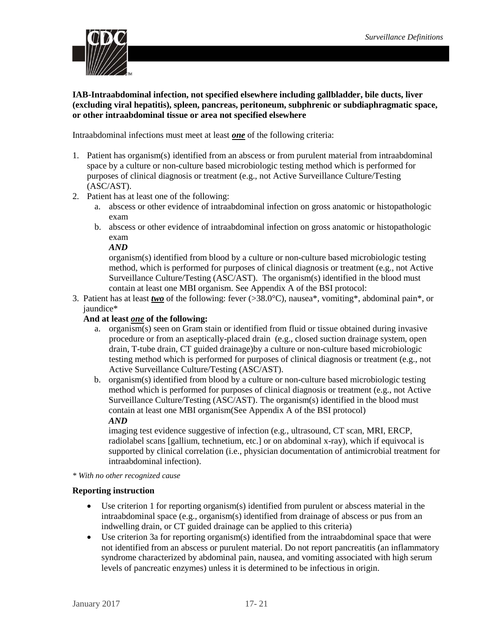

<span id="page-20-0"></span>**IAB-Intraabdominal infection, not specified elsewhere including gallbladder, bile ducts, liver (excluding viral hepatitis), spleen, pancreas, peritoneum, subphrenic or subdiaphragmatic space, or other intraabdominal tissue or area not specified elsewhere** 

Intraabdominal infections must meet at least *one* of the following criteria:

- 1. Patient has organism(s) identified from an abscess or from purulent material from intraabdominal space by a culture or non-culture based microbiologic testing method which is performed for purposes of clinical diagnosis or treatment (e.g., not Active Surveillance Culture/Testing (ASC/AST).
- 2. Patient has at least one of the following:
	- a. abscess or other evidence of intraabdominal infection on gross anatomic or histopathologic exam
	- b. abscess or other evidence of intraabdominal infection on gross anatomic or histopathologic exam

*AND*

organism(s) identified from blood by a culture or non-culture based microbiologic testing method, which is performed for purposes of clinical diagnosis or treatment (e.g., not Active Surveillance Culture/Testing (ASC/AST). The organism(s) identified in the blood must contain at least one MBI organism. See Appendix A of the BSI protocol:

3. Patient has at least *two* of the following: fever (>38.0°C), nausea\*, vomiting\*, abdominal pain\*, or jaundice\*

### **And at least** *one* **of the following:**

- a. organism(s) seen on Gram stain or identified from fluid or tissue obtained during invasive procedure or from an aseptically-placed drain (e.g., closed suction drainage system, open drain, T-tube drain, CT guided drainage)by a culture or non-culture based microbiologic testing method which is performed for purposes of clinical diagnosis or treatment (e.g., not Active Surveillance Culture/Testing (ASC/AST).
- b. organism(s) identified from blood by a culture or non-culture based microbiologic testing method which is performed for purposes of clinical diagnosis or treatment (e.g., not Active Surveillance Culture/Testing (ASC/AST). The organism(s) identified in the blood must contain at least one MBI organism(See Appendix A of the BSI protocol) *AND*

imaging test evidence suggestive of infection (e.g., ultrasound, CT scan, MRI, ERCP, radiolabel scans [gallium, technetium, etc.] or on abdominal x-ray), which if equivocal is supported by clinical correlation (i.e., physician documentation of antimicrobial treatment for intraabdominal infection).

*\* With no other recognized cause*

#### **Reporting instruction**

- Use criterion 1 for reporting organism(s) identified from purulent or abscess material in the intraabdominal space (e.g., organism(s) identified from drainage of abscess or pus from an indwelling drain, or CT guided drainage can be applied to this criteria)
- <span id="page-20-1"></span> Use criterion 3a for reporting organism(s) identified from the intraabdominal space that were not identified from an abscess or purulent material. Do not report pancreatitis (an inflammatory syndrome characterized by abdominal pain, nausea, and vomiting associated with high serum levels of pancreatic enzymes) unless it is determined to be infectious in origin.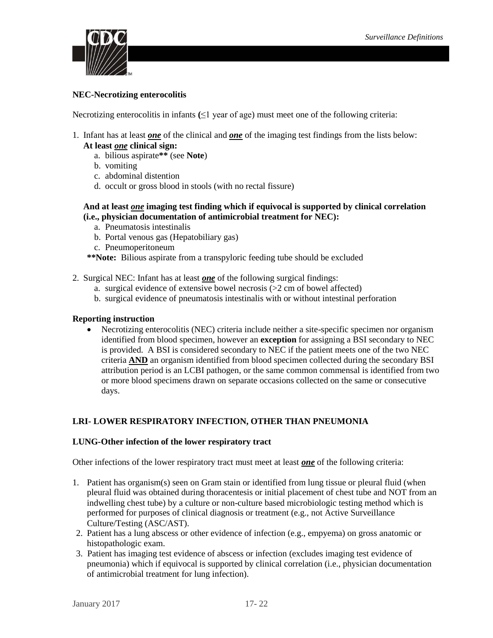

## **NEC-Necrotizing enterocolitis**

Necrotizing enterocolitis in infants **(**≤1 year of age) must meet one of the following criteria:

1. Infant has at least *one* of the clinical and *one* of the imaging test findings from the lists below:

## **At least** *one* **clinical sign:**

- a. bilious aspirate**\*\*** (see **Note**)
- b. vomiting
- c. abdominal distention
- d. occult or gross blood in stools (with no rectal fissure)

#### **And at least** *one* **imaging test finding which if equivocal is supported by clinical correlation (i.e., physician documentation of antimicrobial treatment for NEC):**

- a. Pneumatosis intestinalis
- b. Portal venous gas (Hepatobiliary gas)
- c. Pneumoperitoneum

**\*\*Note:** Bilious aspirate from a transpyloric feeding tube should be excluded

- 2. Surgical NEC: Infant has at least *one* of the following surgical findings:
	- a. surgical evidence of extensive bowel necrosis (>2 cm of bowel affected)
	- b. surgical evidence of pneumatosis intestinalis with or without intestinal perforation

### **Reporting instruction**

 Necrotizing enterocolitis (NEC) criteria include neither a site-specific specimen nor organism identified from blood specimen, however an **exception** for assigning a BSI secondary to NEC is provided. A BSI is considered secondary to NEC if the patient meets one of the two NEC criteria **AND** an organism identified from blood specimen collected during the secondary BSI attribution period is an LCBI pathogen, or the same common commensal is identified from two or more blood specimens drawn on separate occasions collected on the same or consecutive days.

## <span id="page-21-0"></span>**LRI- LOWER RESPIRATORY INFECTION, OTHER THAN PNEUMONIA**

#### <span id="page-21-1"></span>**LUNG-Other infection of the lower respiratory tract**

Other infections of the lower respiratory tract must meet at least *one* of the following criteria:

- 1. Patient has organism(s) seen on Gram stain or identified from lung tissue or pleural fluid (when pleural fluid was obtained during thoracentesis or initial placement of chest tube and NOT from an indwelling chest tube) by a culture or non-culture based microbiologic testing method which is performed for purposes of clinical diagnosis or treatment (e.g., not Active Surveillance Culture/Testing (ASC/AST).
- 2. Patient has a lung abscess or other evidence of infection (e.g., empyema) on gross anatomic or histopathologic exam.
- 3. Patient has imaging test evidence of abscess or infection (excludes imaging test evidence of pneumonia) which if equivocal is supported by clinical correlation (i.e., physician documentation of antimicrobial treatment for lung infection).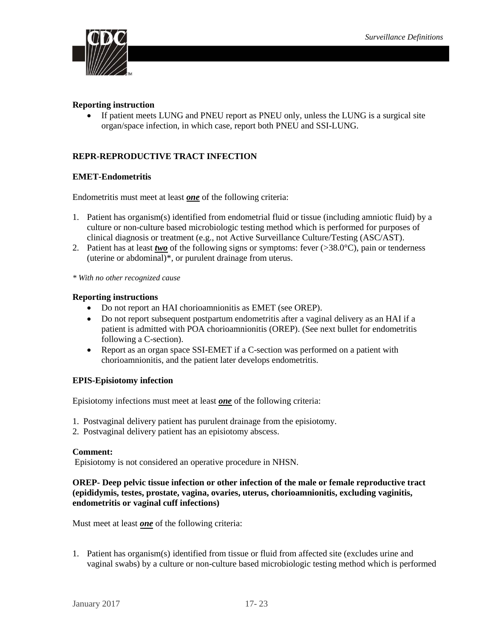

#### **Reporting instruction**

• If patient meets LUNG and PNEU report as PNEU only, unless the LUNG is a surgical site organ/space infection, in which case, report both PNEU and SSI-LUNG.

## <span id="page-22-0"></span>**REPR-REPRODUCTIVE TRACT INFECTION**

#### <span id="page-22-1"></span>**EMET-Endometritis**

Endometritis must meet at least *one* of the following criteria:

- 1. Patient has organism(s) identified from endometrial fluid or tissue (including amniotic fluid) by a culture or non-culture based microbiologic testing method which is performed for purposes of clinical diagnosis or treatment (e.g., not Active Surveillance Culture/Testing (ASC/AST).
- 2. Patient has at least *two* of the following signs or symptoms: fever (>38.0°C), pain or tenderness (uterine or abdominal)\*, or purulent drainage from uterus.

*\* With no other recognized cause*

#### **Reporting instructions**

- Do not report an HAI chorioamnionitis as EMET (see OREP).
- Do not report subsequent postpartum endometritis after a vaginal delivery as an HAI if a patient is admitted with POA chorioamnionitis (OREP). (See next bullet for endometritis following a C-section).
- Report as an organ space SSI-EMET if a C-section was performed on a patient with chorioamnionitis, and the patient later develops endometritis.

#### <span id="page-22-2"></span>**EPIS-Episiotomy infection**

Episiotomy infections must meet at least *one* of the following criteria:

- 1. Postvaginal delivery patient has purulent drainage from the episiotomy.
- 2. Postvaginal delivery patient has an episiotomy abscess.

#### **Comment:**

Episiotomy is not considered an operative procedure in NHSN.

#### <span id="page-22-3"></span>**OREP- Deep pelvic tissue infection or other infection of the male or female reproductive tract (epididymis, testes, prostate, vagina, ovaries, uterus, chorioamnionitis, excluding vaginitis, endometritis or vaginal cuff infections)**

Must meet at least *one* of the following criteria:

1. Patient has organism(s) identified from tissue or fluid from affected site (excludes urine and vaginal swabs) by a culture or non-culture based microbiologic testing method which is performed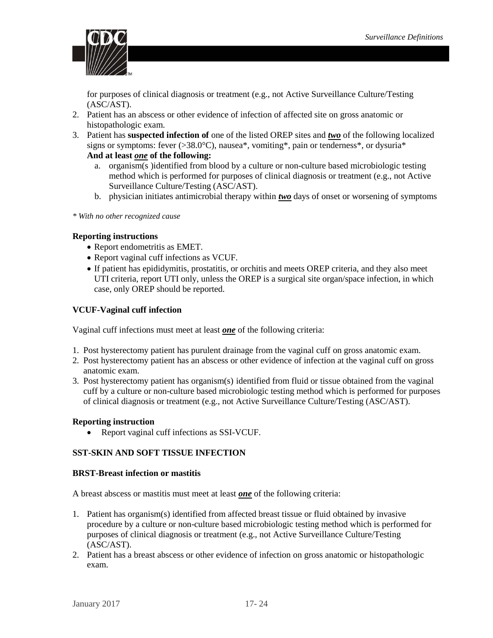

for purposes of clinical diagnosis or treatment (e.g., not Active Surveillance Culture/Testing (ASC/AST).

- 2. Patient has an abscess or other evidence of infection of affected site on gross anatomic or histopathologic exam.
- 3. Patient has **suspected infection of** one of the listed OREP sites and *two* of the following localized signs or symptoms: fever  $(>38.0^{\circ}C)$ , nausea\*, vomiting\*, pain or tenderness\*, or dysuria\*

## **And at least** *one* **of the following:**

- a. organism(s )identified from blood by a culture or non-culture based microbiologic testing method which is performed for purposes of clinical diagnosis or treatment (e.g., not Active Surveillance Culture/Testing (ASC/AST).
- b. physician initiates antimicrobial therapy within *two* days of onset or worsening of symptoms

*\* With no other recognized cause*

## **Reporting instructions**

- Report endometritis as EMET.
- Report vaginal cuff infections as VCUF.
- If patient has epididymitis, prostatitis, or orchitis and meets OREP criteria, and they also meet UTI criteria, report UTI only, unless the OREP is a surgical site organ/space infection, in which case, only OREP should be reported.

## <span id="page-23-0"></span>**VCUF-Vaginal cuff infection**

Vaginal cuff infections must meet at least *one* of the following criteria:

- 1. Post hysterectomy patient has purulent drainage from the vaginal cuff on gross anatomic exam.
- 2. Post hysterectomy patient has an abscess or other evidence of infection at the vaginal cuff on gross anatomic exam.
- 3. Post hysterectomy patient has organism(s) identified from fluid or tissue obtained from the vaginal cuff by a culture or non-culture based microbiologic testing method which is performed for purposes of clinical diagnosis or treatment (e.g., not Active Surveillance Culture/Testing (ASC/AST).

#### **Reporting instruction**

• Report vaginal cuff infections as SSI-VCUF.

#### <span id="page-23-1"></span>**SST-SKIN AND SOFT TISSUE INFECTION**

#### <span id="page-23-2"></span>**BRST-Breast infection or mastitis**

A breast abscess or mastitis must meet at least *one* of the following criteria:

- 1. Patient has organism(s) identified from affected breast tissue or fluid obtained by invasive procedure by a culture or non-culture based microbiologic testing method which is performed for purposes of clinical diagnosis or treatment (e.g., not Active Surveillance Culture/Testing (ASC/AST).
- 2. Patient has a breast abscess or other evidence of infection on gross anatomic or histopathologic exam.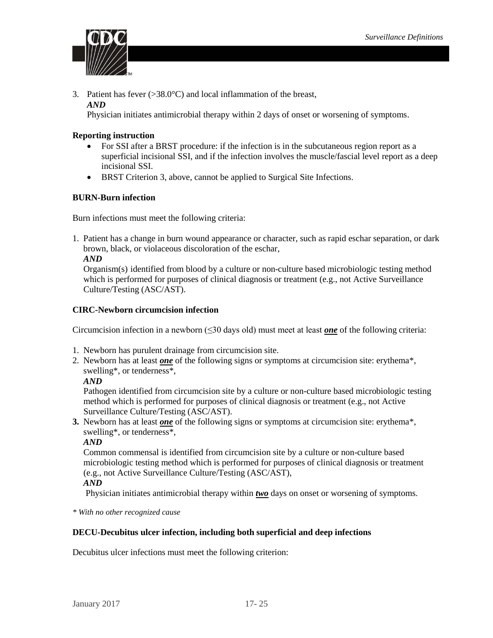

3. Patient has fever  $(>\!\!38.0^{\circ}\mathrm{C})$  and local inflammation of the breast, *AND*

Physician initiates antimicrobial therapy within 2 days of onset or worsening of symptoms.

#### **Reporting instruction**

- For SSI after a BRST procedure: if the infection is in the subcutaneous region report as a superficial incisional SSI, and if the infection involves the muscle/fascial level report as a deep incisional SSI.
- BRST Criterion 3, above, cannot be applied to Surgical Site Infections.

#### <span id="page-24-0"></span>**BURN-Burn infection**

Burn infections must meet the following criteria:

1. Patient has a change in burn wound appearance or character, such as rapid eschar separation, or dark brown, black, or violaceous discoloration of the eschar,

#### *AND*

Organism(s) identified from blood by a culture or non-culture based microbiologic testing method which is performed for purposes of clinical diagnosis or treatment (e.g., not Active Surveillance Culture/Testing (ASC/AST).

#### <span id="page-24-1"></span>**CIRC-Newborn circumcision infection**

Circumcision infection in a newborn (≤30 days old) must meet at least *one* of the following criteria:

- 1. Newborn has purulent drainage from circumcision site.
- 2. Newborn has at least *one* of the following signs or symptoms at circumcision site: erythema\*, swelling\*, or tenderness\*,

#### *AND*

Pathogen identified from circumcision site by a culture or non-culture based microbiologic testing method which is performed for purposes of clinical diagnosis or treatment (e.g., not Active Surveillance Culture/Testing (ASC/AST).

**3.** Newborn has at least *one* of the following signs or symptoms at circumcision site: erythema\*, swelling\*, or tenderness\*,

#### *AND*

Common commensal is identified from circumcision site by a culture or non-culture based microbiologic testing method which is performed for purposes of clinical diagnosis or treatment (e.g., not Active Surveillance Culture/Testing (ASC/AST),

#### *AND*

Physician initiates antimicrobial therapy within *two* days on onset or worsening of symptoms.

*\* With no other recognized cause*

#### <span id="page-24-2"></span>**DECU-Decubitus ulcer infection, including both superficial and deep infections**

Decubitus ulcer infections must meet the following criterion: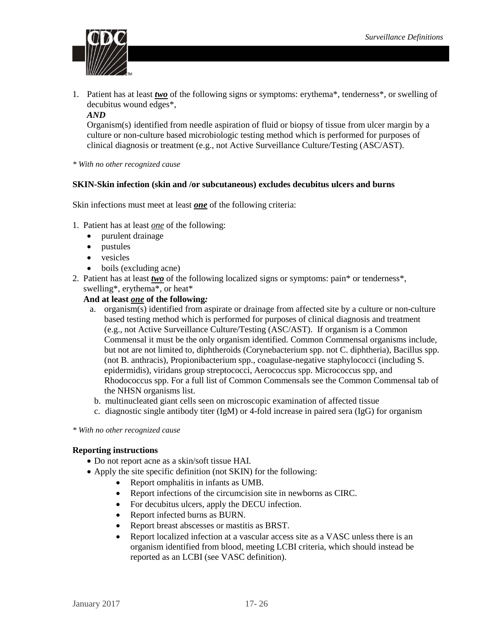

- 1. Patient has at least *two* of the following signs or symptoms: erythema\*, tenderness\*, or swelling of decubitus wound edges\*,
	- *AND*

Organism(s) identified from needle aspiration of fluid or biopsy of tissue from ulcer margin by a culture or non-culture based microbiologic testing method which is performed for purposes of clinical diagnosis or treatment (e.g., not Active Surveillance Culture/Testing (ASC/AST).

*\* With no other recognized cause*

#### <span id="page-25-0"></span>**SKIN-Skin infection (skin and /or subcutaneous) excludes decubitus ulcers and burns**

Skin infections must meet at least *one* of the following criteria:

- 1. Patient has at least *one* of the following:
	- purulent drainage
	- pustules
	- vesicles
	- boils (excluding acne)
- 2. Patient has at least *two* of the following localized signs or symptoms: pain\* or tenderness\*, swelling\*, erythema\*, or heat\*

#### **And at least** *one* **of the following***:*

- a. organism(s) identified from aspirate or drainage from affected site by a culture or non-culture based testing method which is performed for purposes of clinical diagnosis and treatment (e.g., not Active Surveillance Culture/Testing (ASC/AST). If organism is a Common Commensal it must be the only organism identified. Common Commensal organisms include, but not are not limited to, diphtheroids (Corynebacterium spp. not C. diphtheria), Bacillus spp. (not B. anthracis), Propionibacterium spp., coagulase-negative staphylococci (including S. epidermidis), viridans group streptococci, Aerococcus spp. Micrococcus spp, and Rhodococcus spp. For a full list of Common Commensals see the Common Commensal tab of the NHSN organisms list.
- b. multinucleated giant cells seen on microscopic examination of affected tissue
- c. diagnostic single antibody titer (IgM) or 4-fold increase in paired sera (IgG) for organism

*\* With no other recognized cause*

#### **Reporting instructions**

- Do not report acne as a skin/soft tissue HAI.
- Apply the site specific definition (not SKIN) for the following:
	- Report omphalitis in infants as UMB.
	- Report infections of the circumcision site in newborns as CIRC.
	- For decubitus ulcers, apply the DECU infection.
	- Report infected burns as BURN.
	- Report breast abscesses or mastitis as BRST.
	- Report localized infection at a vascular access site as a VASC unless there is an organism identified from blood, meeting LCBI criteria, which should instead be reported as an LCBI (see VASC definition).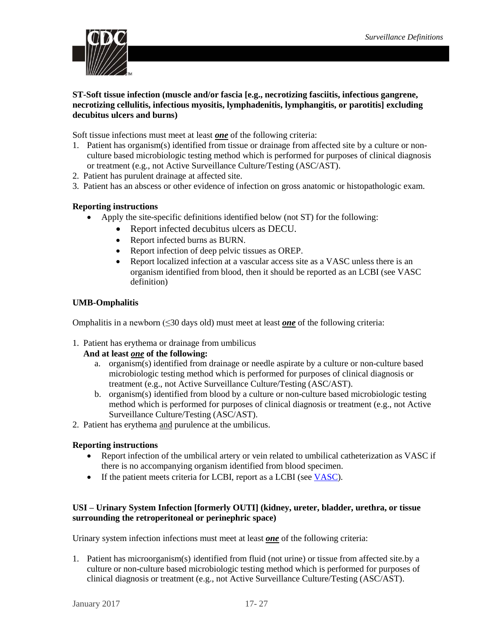

## <span id="page-26-0"></span>**ST-Soft tissue infection (muscle and/or fascia [e.g., necrotizing fasciitis, infectious gangrene, necrotizing cellulitis, infectious myositis, lymphadenitis, lymphangitis, or parotitis] excluding decubitus ulcers and burns)**

Soft tissue infections must meet at least *one* of the following criteria:

- 1. Patient has organism(s) identified from tissue or drainage from affected site by a culture or nonculture based microbiologic testing method which is performed for purposes of clinical diagnosis or treatment (e.g., not Active Surveillance Culture/Testing (ASC/AST).
- 2. Patient has purulent drainage at affected site.
- 3. Patient has an abscess or other evidence of infection on gross anatomic or histopathologic exam.

#### **Reporting instructions**

- Apply the site-specific definitions identified below (not ST) for the following:
	- Report infected decubitus ulcers as DECU.
	- Report infected burns as BURN.
	- Report infection of deep pelvic tissues as OREP.
	- Report localized infection at a vascular access site as a VASC unless there is an organism identified from blood, then it should be reported as an LCBI (see VASC definition)

#### <span id="page-26-1"></span>**UMB-Omphalitis**

Omphalitis in a newborn (≤30 days old) must meet at least *one* of the following criteria:

1. Patient has erythema or drainage from umbilicus

#### **And at least** *one* **of the following:**

- a. organism(s) identified from drainage or needle aspirate by a culture or non-culture based microbiologic testing method which is performed for purposes of clinical diagnosis or treatment (e.g., not Active Surveillance Culture/Testing (ASC/AST).
- b. organism(s) identified from blood by a culture or non-culture based microbiologic testing method which is performed for purposes of clinical diagnosis or treatment (e.g., not Active Surveillance Culture/Testing (ASC/AST).
- 2. Patient has erythema and purulence at the umbilicus.

#### **Reporting instructions**

- Report infection of the umbilical artery or vein related to umbilical catheterization as VASC if there is no accompanying organism identified from blood specimen.
- If the patient meets criteria for LCBI, report as a LCBI (see [VASC\)](#page-13-1).

## <span id="page-26-2"></span>**USI – Urinary System Infection [formerly OUTI] (kidney, ureter, bladder, urethra, or tissue surrounding the retroperitoneal or perinephric space)**

Urinary system infection infections must meet at least *one* of the following criteria:

1. Patient has microorganism(s) identified from fluid (not urine) or tissue from affected site.by a culture or non-culture based microbiologic testing method which is performed for purposes of clinical diagnosis or treatment (e.g., not Active Surveillance Culture/Testing (ASC/AST).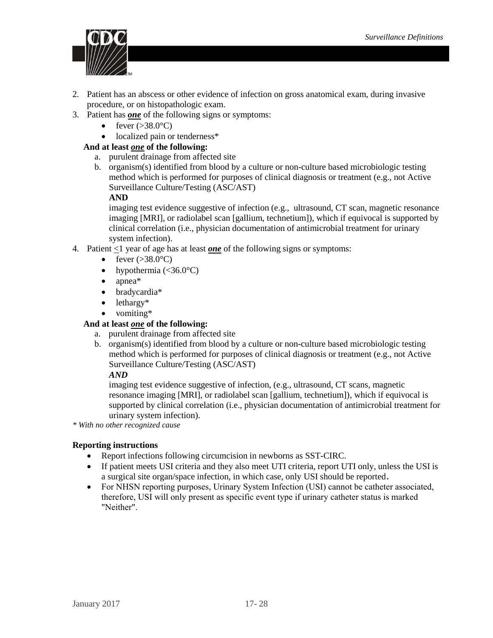

- 2. Patient has an abscess or other evidence of infection on gross anatomical exam, during invasive procedure, or on histopathologic exam.
- 3. Patient has *one* of the following signs or symptoms:
	- fever  $(>38.0^{\circ}C)$
	- localized pain or tenderness\*

## **And at least** *one* **of the following:**

- a. purulent drainage from affected site
- b. organism(s) identified from blood by a culture or non-culture based microbiologic testing method which is performed for purposes of clinical diagnosis or treatment (e.g., not Active Surveillance Culture/Testing (ASC/AST)

## **AND**

imaging test evidence suggestive of infection (e.g., ultrasound, CT scan, magnetic resonance imaging [MRI], or radiolabel scan [gallium, technetium]), which if equivocal is supported by clinical correlation (i.e., physician documentation of antimicrobial treatment for urinary system infection).

- 4. Patient  $\leq 1$  year of age has at least *one* of the following signs or symptoms:
	- fever  $(>38.0^{\circ}C)$
	- hypothermia  $( $36.0^{\circ}$ C)$
	- apnea\*
	- bradycardia\*
	- lethargy\*
	- vomiting\*

## **And at least** *one* **of the following:**

- a. purulent drainage from affected site
- b. organism(s) identified from blood by a culture or non-culture based microbiologic testing method which is performed for purposes of clinical diagnosis or treatment (e.g., not Active Surveillance Culture/Testing (ASC/AST)

## *AND*

imaging test evidence suggestive of infection, (e.g., ultrasound, CT scans, magnetic resonance imaging [MRI], or radiolabel scan [gallium, technetium]), which if equivocal is supported by clinical correlation (i.e., physician documentation of antimicrobial treatment for urinary system infection).

*\* With no other recognized cause*

## **Reporting instructions**

- Report infections following circumcision in newborns as SST-CIRC.
- If patient meets USI criteria and they also meet UTI criteria, report UTI only, unless the USI is a surgical site organ/space infection, in which case, only USI should be reported.
- For NHSN reporting purposes, Urinary System Infection (USI) cannot be catheter associated, therefore, USI will only present as specific event type if urinary catheter status is marked "Neither".